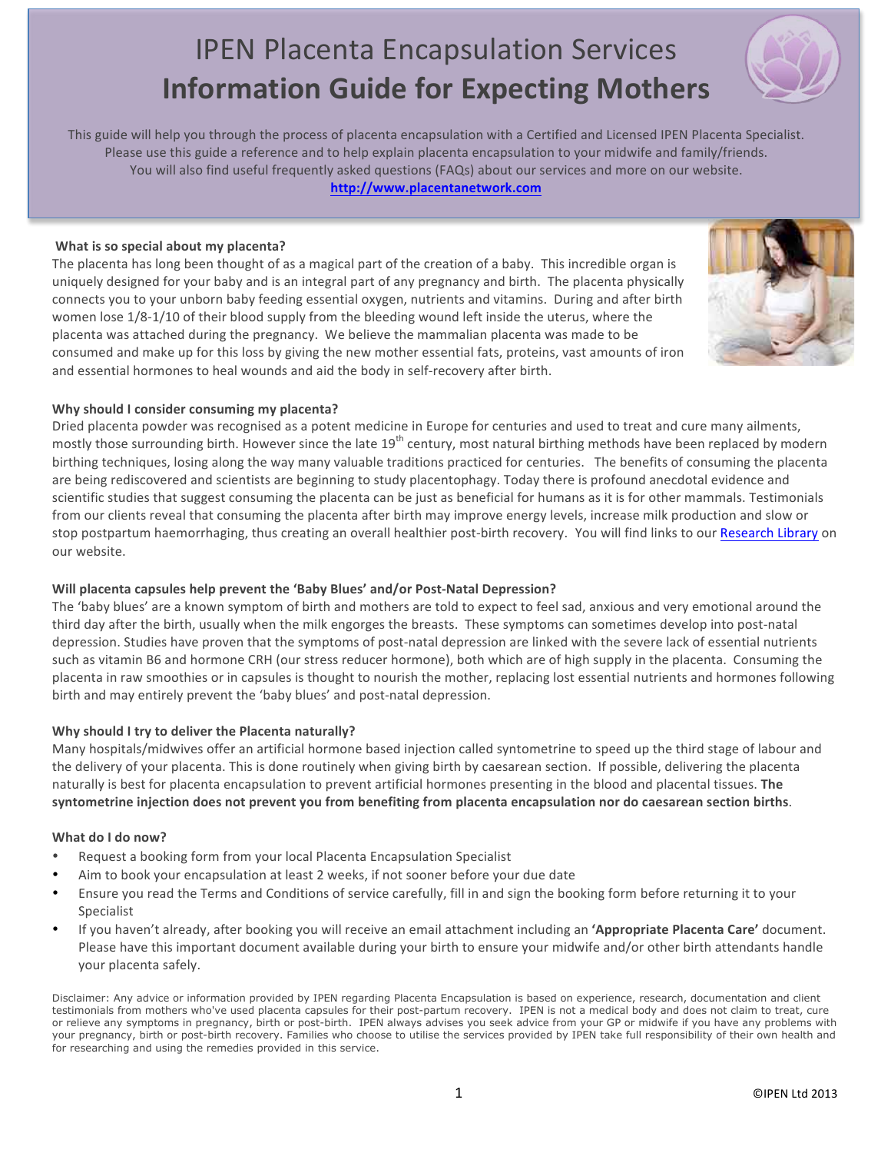# **IPEN Placenta Encapsulation Services Information Guide for Expecting Mothers**

This guide will help you through the process of placenta encapsulation with a Certified and Licensed IPEN Placenta Specialist. Please use this guide a reference and to help explain placenta encapsulation to your midwife and family/friends. You will also find useful frequently asked questions (FAQs) about our services and more on our website.

http://www.placentanetwork.com

#### What is so special about my placenta?

The placenta has long been thought of as a magical part of the creation of a baby. This incredible organ is uniquely designed for your baby and is an integral part of any pregnancy and birth. The placenta physically connects you to your unborn baby feeding essential oxygen, nutrients and vitamins. During and after birth women lose 1/8-1/10 of their blood supply from the bleeding wound left inside the uterus, where the placenta was attached during the pregnancy. We believe the mammalian placenta was made to be consumed and make up for this loss by giving the new mother essential fats, proteins, vast amounts of iron and essential hormones to heal wounds and aid the body in self-recovery after birth.

#### Why should I consider consuming my placenta?

Dried placenta powder was recognised as a potent medicine in Europe for centuries and used to treat and cure many ailments, mostly those surrounding birth. However since the late 19<sup>th</sup> century, most natural birthing methods have been replaced by modern birthing techniques, losing along the way many valuable traditions practiced for centuries. The benefits of consuming the placenta are being rediscovered and scientists are beginning to study placentophagy. Today there is profound anecdotal evidence and scientific studies that suggest consuming the placenta can be just as beneficial for humans as it is for other mammals. Testimonials from our clients reveal that consuming the placenta after birth may improve energy levels, increase milk production and slow or stop postpartum haemorrhaging, thus creating an overall healthier post-birth recovery. You will find links to our Research Library on our website.

#### Will placenta capsules help prevent the 'Baby Blues' and/or Post-Natal Depression?

The 'baby blues' are a known symptom of birth and mothers are told to expect to feel sad, anxious and very emotional around the third day after the birth, usually when the milk engorges the breasts. These symptoms can sometimes develop into post-natal depression. Studies have proven that the symptoms of post-natal depression are linked with the severe lack of essential nutrients such as vitamin B6 and hormone CRH (our stress reducer hormone), both which are of high supply in the placenta. Consuming the placenta in raw smoothies or in capsules is thought to nourish the mother, replacing lost essential nutrients and hormones following birth and may entirely prevent the 'baby blues' and post-natal depression.

#### Why should I try to deliver the Placenta naturally?

Many hospitals/midwives offer an artificial hormone based injection called syntometrine to speed up the third stage of labour and the delivery of your placenta. This is done routinely when giving birth by caesarean section. If possible, delivering the placenta naturally is best for placenta encapsulation to prevent artificial hormones presenting in the blood and placental tissues. The syntometrine injection does not prevent you from benefiting from placenta encapsulation nor do caesarean section births.

#### What do I do now?

- Request a booking form from your local Placenta Encapsulation Specialist
- Aim to book your encapsulation at least 2 weeks, if not sooner before your due date
- Ensure you read the Terms and Conditions of service carefully, fill in and sign the booking form before returning it to your Specialist
- If you haven't already, after booking you will receive an email attachment including an 'Appropriate Placenta Care' document. Please have this important document available during your birth to ensure your midwife and/or other birth attendants handle your placenta safely.

Disclaimer: Any advice or information provided by IPEN regarding Placenta Encapsulation is based on experience, research, documentation and client testimonials from mothers who've used placenta capsules for their post-partum recovery. IPEN is not a medical body and does not claim to treat, cure or relieve any symptoms in pregnancy, birth or post-birth. IPEN always advises you seek advice from your GP or midwife if you have any problems with your pregnancy, birth or post-birth recovery. Families who choose to utilise the services provided by IPEN take full responsibility of their own health and for researching and using the remedies provided in this service.



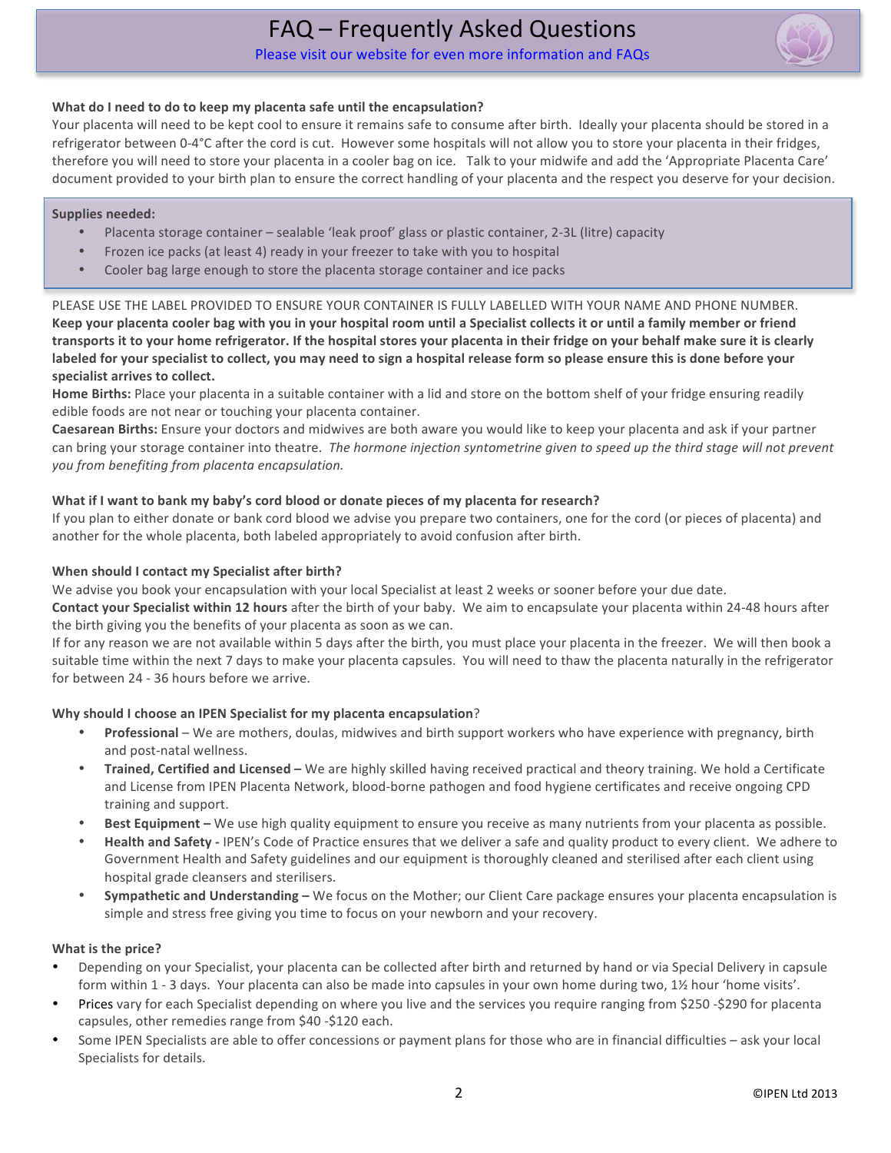# FAQ - Frequently Asked Questions

Please visit our website for even more information and FAOs



#### What do I need to do to keep my placenta safe until the encapsulation?

Your placenta will need to be kept cool to ensure it remains safe to consume after birth. Ideally your placenta should be stored in a refrigerator between 0-4°C after the cord is cut. However some hospitals will not allow you to store your placenta in their fridges, therefore you will need to store your placenta in a cooler bag on ice. Talk to your midwife and add the 'Appropriate Placenta Care' document provided to your birth plan to ensure the correct handling of your placenta and the respect you deserve for your decision.

#### **Supplies needed:**

- Placenta storage container sealable 'leak proof' glass or plastic container, 2-3L (litre) capacity
- Frozen ice packs (at least 4) ready in your freezer to take with you to hospital
- Cooler bag large enough to store the placenta storage container and ice packs

PLEASE USE THE LABEL PROVIDED TO ENSURE YOUR CONTAINER IS FULLY LABELLED WITH YOUR NAME AND PHONE NUMBER. Keep vour placenta cooler bag with you in your hospital room until a Specialist collects it or until a family member or friend transports it to your home refrigerator. If the hospital stores your placenta in their fridge on your behalf make sure it is clearly labeled for your specialist to collect, you may need to sign a hospital release form so please ensure this is done before your specialist arrives to collect.

Home Births: Place your placenta in a suitable container with a lid and store on the bottom shelf of your fridge ensuring readily edible foods are not near or touching your placenta container.

Caesarean Births: Ensure your doctors and midwives are both aware you would like to keep your placenta and ask if your partner can bring your storage container into theatre. The hormone injection syntometrine given to speed up the third stage will not prevent you from benefiting from placenta encapsulation.

#### What if I want to bank my baby's cord blood or donate pieces of my placenta for research?

If you plan to either donate or bank cord blood we advise you prepare two containers, one for the cord (or pieces of placenta) and another for the whole placenta, both labeled appropriately to avoid confusion after birth.

#### When should I contact my Specialist after birth?

We advise you book your encapsulation with your local Specialist at least 2 weeks or sooner before your due date.

Contact your Specialist within 12 hours after the birth of your baby. We aim to encapsulate your placenta within 24-48 hours after the birth giving you the benefits of your placenta as soon as we can.

If for any reason we are not available within 5 days after the birth, you must place your placenta in the freezer. We will then book a suitable time within the next 7 days to make your placenta capsules. You will need to thaw the placenta naturally in the refrigerator for between 24 - 36 hours before we arrive.

#### Why should I choose an IPEN Specialist for my placenta encapsulation?

- Professional We are mothers, doulas, midwives and birth support workers who have experience with pregnancy, birth and post-natal wellness.
- Trained, Certified and Licensed We are highly skilled having received practical and theory training. We hold a Certificate and License from IPEN Placenta Network, blood-borne pathogen and food hygiene certificates and receive ongoing CPD training and support.
- Best Equipment We use high quality equipment to ensure you receive as many nutrients from your placenta as possible.
- Health and Safety IPEN's Code of Practice ensures that we deliver a safe and quality product to every client. We adhere to Government Health and Safety guidelines and our equipment is thoroughly cleaned and sterilised after each client using hospital grade cleansers and sterilisers.
- Sympathetic and Understanding We focus on the Mother; our Client Care package ensures your placenta encapsulation is simple and stress free giving you time to focus on your newborn and your recovery.

#### What is the price?

- Depending on your Specialist, your placenta can be collected after birth and returned by hand or via Special Delivery in capsule form within 1 - 3 days. Your placenta can also be made into capsules in your own home during two, 1% hour 'home visits'.
- Prices vary for each Specialist depending on where you live and the services you require ranging from \$250-\$290 for placenta capsules, other remedies range from \$40 -\$120 each.
- Some IPEN Specialists are able to offer concessions or payment plans for those who are in financial difficulties ask your local Specialists for details.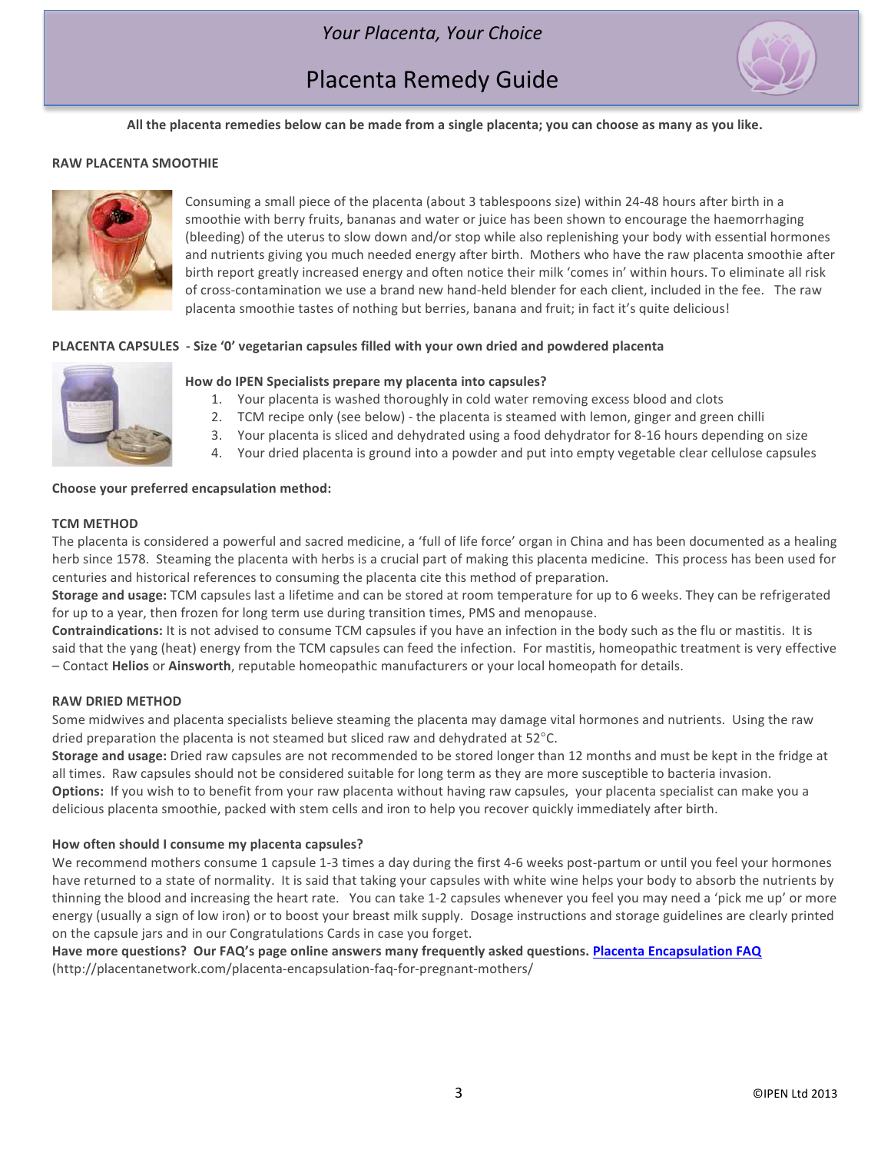### Your Placenta, Your Choice

## Placenta Remedy Guide



All the placenta remedies below can be made from a single placenta; you can choose as many as you like.

#### **RAW PLACENTA SMOOTHIE**



Consuming a small piece of the placenta (about 3 tablespoons size) within 24-48 hours after birth in a smoothie with berry fruits, bananas and water or juice has been shown to encourage the haemorrhaging (bleeding) of the uterus to slow down and/or stop while also replenishing your body with essential hormones and nutrients giving you much needed energy after birth. Mothers who have the raw placenta smoothie after birth report greatly increased energy and often notice their milk 'comes in' within hours. To eliminate all risk of cross-contamination we use a brand new hand-held blender for each client, included in the fee. The raw placenta smoothie tastes of nothing but berries, banana and fruit; in fact it's quite delicious!

#### **PLACENTA CAPSULES** - Size 'O' vegetarian capsules filled with your own dried and powdered placenta



#### How do IPEN Specialists prepare my placenta into capsules?

- 1. Your placenta is washed thoroughly in cold water removing excess blood and clots
- 2. TCM recipe only (see below) the placenta is steamed with lemon, ginger and green chilli
- 3. Your placenta is sliced and dehydrated using a food dehydrator for 8-16 hours depending on size
- 4. Your dried placenta is ground into a powder and put into empty vegetable clear cellulose capsules

#### **Ehoose your preferred encapsulation method:**

#### **TCM METHOD**

The placenta is considered a powerful and sacred medicine, a 'full of life force' organ in China and has been documented as a healing herb since 1578. Steaming the placenta with herbs is a crucial part of making this placenta medicine. This process has been used for centuries and historical references to consuming the placenta cite this method of preparation.

**Storage and usage:** TCM capsules last a lifetime and can be stored at room temperature for up to 6 weeks. They can be refrigerated for up to a year, then frozen for long term use during transition times, PMS and menopause.

**Contraindications:** It is not advised to consume TCM capsules if you have an infection in the body such as the flu or mastitis. It is said that the yang (heat) energy from the TCM capsules can feed the infection. For mastitis, homeopathic treatment is very effective  $-$  Contact Helios or Ainsworth, reputable homeopathic manufacturers or your local homeopath for details.

#### **RAW DRIED METHOD**

Some midwives and placenta specialists believe steaming the placenta may damage vital hormones and nutrients. Using the raw dried preparation the placenta is not steamed but sliced raw and dehydrated at  $52^{\circ}$ C.

**Storage and usage:** Dried raw capsules are not recommended to be stored longer than 12 months and must be kept in the fridge at all times. Raw capsules should not be considered suitable for long term as they are more susceptible to bacteria invasion.

**Options:** If you wish to to benefit from your raw placenta without having raw capsules, your placenta specialist can make you a delicious placenta smoothie, packed with stem cells and iron to help you recover quickly immediately after birth.

#### How often should I consume my placenta capsules?

We recommend mothers consume 1 capsule 1-3 times a day during the first 4-6 weeks post-partum or until you feel your hormones have returned to a state of normality. It is said that taking your capsules with white wine helps your body to absorb the nutrients by thinning the blood and increasing the heart rate. You can take 1-2 capsules whenever you feel you may need a 'pick me up' or more energy (usually a sign of low iron) or to boost your breast milk supply. Dosage instructions and storage guidelines are clearly printed on the capsule jars and in our Congratulations Cards in case you forget.

#### Have more questions? Our FAQ's page online answers many frequently asked questions. Placenta Encapsulation FAQ (http://placentanetwork.com/placenta-encapsulation-faq-for-pregnant-mothers/